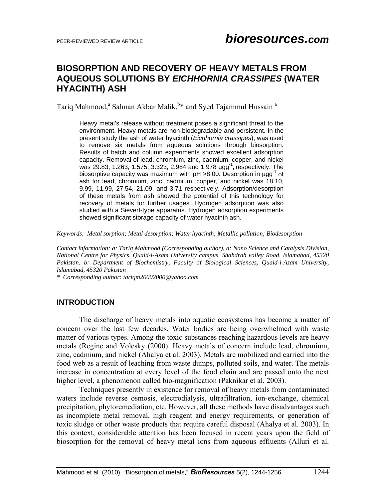# **BIOSORPTION AND RECOVERY OF HEAVY METALS FROM AQUEOUS SOLUTIONS BY** *EICHHORNIA CRASSIPES* **(WATER HYACINTH) ASH**

Tariq Mahmood,<sup>a</sup> Salman Akbar Malik, <sup>b\*</sup> and Syed Tajammul Hussain<sup>a</sup>

Heavy metal's release without treatment poses a significant threat to the environment. Heavy metals are non-biodegradable and persistent. In the present study the ash of water hyacinth (*Eichhornia crassipes*), was used to remove six metals from aqueous solutions through biosorption. Results of batch and column experiments showed excellent adsorption capacity. Removal of lead, chromium, zinc, cadmium, copper, and nickel was 29.83, 1.263, 1.575, 3.323, 2.984 and 1.978 µgg<sup>-1</sup>, respectively. The biosorptive capacity was maximum with  $pH > 8.00$ . Desorption in  $\mu$ gg<sup>-1</sup> of ash for lead, chromium, zinc, cadmium, copper, and nickel was 18.10, 9.99, 11.99, 27.54, 21.09, and 3.71 respectively. Adsorption/desorption of these metals from ash showed the potential of this technology for recovery of metals for further usages. Hydrogen adsorption was also studied with a Sievert-type apparatus. Hydrogen adsorption experiments showed significant storage capacity of water hyacinth ash.

*Keywords: Metal sorption; Metal desorption; Water hyacinth; Metallic pollution; Biodesorption* 

*Contact information: a: Tariq Mahmood (Corresponding author), a: Nano Science and Catalysis Division, National Centre for Physics, Quaid-i-Azam University campus, Shahdrah valley Road, Islamabad, 45320 Pakistan. b: Department of Biochemistry, Faculty of Biological Sciences, Quaid-i-Azam University, Islamabad, 45320 Pakistan* 

*\* Corresponding author: tariqm20002000@yahoo.com*

## **INTRODUCTION**

 The discharge of heavy metals into aquatic ecosystems has become a matter of concern over the last few decades. Water bodies are being overwhelmed with waste matter of various types. Among the toxic substances reaching hazardous levels are heavy metals (Regine and Volesky (2000). Heavy metals of concern include lead, chromium, zinc, cadmium, and nickel (Ahalya et al. 2003). Metals are mobilized and carried into the food web as a result of leaching from waste dumps, polluted soils, and water. The metals increase in concentration at every level of the food chain and are passed onto the next higher level, a phenomenon called bio-magnification (Paknikar et al. 2003).

Techniques presently in existence for removal of heavy metals from contaminated waters include reverse osmosis, electrodialysis, ultrafiltration, ion-exchange, chemical precipitation, phytoremediation, etc. However, all these methods have disadvantages such as incomplete metal removal, high reagent and energy requirements, or generation of toxic sludge or other waste products that require careful disposal (Ahalya et al. 2003). In this context, considerable attention has been focused in recent years upon the field of biosorption for the removal of heavy metal ions from aqueous effluents (Alluri et al.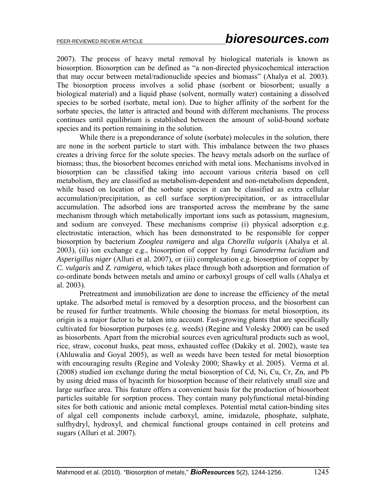2007). The process of heavy metal removal by biological materials is known as biosorption. Biosorption can be defined as "a non-directed physicochemical interaction that may occur between metal/radionuclide species and biomass" (Ahalya et al. 2003). The biosorption process involves a solid phase (sorbent or biosorbent; usually a biological material) and a liquid phase (solvent, normally water) containing a dissolved species to be sorbed (sorbate, metal ion). Due to higher affinity of the sorbent for the sorbate species, the latter is attracted and bound with different mechanisms. The process continues until equilibrium is established between the amount of solid-bound sorbate species and its portion remaining in the solution.

 While there is a preponderance of solute (sorbate) molecules in the solution, there are none in the sorbent particle to start with. This imbalance between the two phases creates a driving force for the solute species. The heavy metals adsorb on the surface of biomass; thus, the biosorbent becomes enriched with metal ions. Mechanisms involved in biosorption can be classified taking into account various criteria based on cell metabolism, they are classified as metabolism-dependent and non-metabolism dependent, while based on location of the sorbate species it can be classified as extra cellular accumulation/precipitation, as cell surface sorption/precipitation, or as intracellular accumulation. The adsorbed ions are transported across the membrane by the same mechanism through which metabolically important ions such as potassium, magnesium, and sodium are conveyed. These mechanisms comprise (i) physical adsorption e.g. electrostatic interaction, which has been demonstrated to be responsible for copper biosorption by bacterium *Zooglea ramigera* and alga *Chorella vulgaris* (Ahalya et al. 2003), (ii) ion exchange e.g., biosorption of copper by fungi *Ganoderma lucidium* and *Asperigillus niger* (Alluri et al. 2007), or (iii) complexation e.g. biosorption of copper by *C. vulgaris* and *Z. ramigera*, which takes place through both adsorption and formation of co-ordinate bonds between metals and amino or carboxyl groups of cell walls (Ahalya et al. 2003).

 Pretreatment and immobilization are done to increase the efficiency of the metal uptake. The adsorbed metal is removed by a desorption process, and the biosorbent can be reused for further treatments. While choosing the biomass for metal biosorption, its origin is a major factor to be taken into account. Fast-growing plants that are specifically cultivated for biosorption purposes (e.g. weeds) (Regine and Volesky 2000) can be used as biosorbents. Apart from the microbial sources even agricultural products such as wool, rice, straw, coconut husks, peat moss, exhausted coffee (Dakiky et al. 2002), waste tea (Ahluwalia and Goyal 2005), as well as weeds have been tested for metal biosorption with encouraging results (Regine and Volesky 2000; Shawky et al. 2005). Verma et al. (2008) studied ion exchange during the metal biosorption of Cd, Ni, Cu, Cr, Zn, and Pb by using dried mass of hyacinth for biosorption because of their relatively small size and large surface area. This feature offers a convenient basis for the production of biosorbent particles suitable for sorption process. They contain many polyfunctional metal-binding sites for both cationic and anionic metal complexes. Potential metal cation-binding sites of algal cell components include carboxyl, amine, imidazole, phosphate, sulphate, sulfhydryl, hydroxyl, and chemical functional groups contained in cell proteins and sugars (Alluri et al. 2007).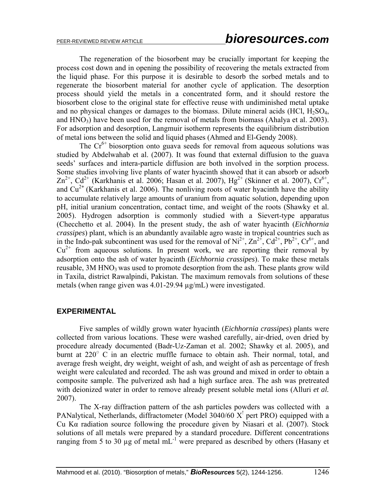The regeneration of the biosorbent may be crucially important for keeping the process cost down and in opening the possibility of recovering the metals extracted from the liquid phase. For this purpose it is desirable to desorb the sorbed metals and to regenerate the biosorbent material for another cycle of application. The desorption process should yield the metals in a concentrated form, and it should restore the biosorbent close to the original state for effective reuse with undiminished metal uptake and no physical changes or damages to the biomass. Dilute mineral acids  $(HCl, H<sub>2</sub>SO<sub>4</sub>)$ , and  $HNO<sub>3</sub>$ ) have been used for the removal of metals from biomass (Ahalya et al. 2003). For adsorption and desorption, Langmuir isotherm represents the equilibrium distribution of metal ions between the solid and liquid phases (Ahmed and El-Gendy 2008).

The  $Cr^{6+}$  biosorption onto guava seeds for removal from aqueous solutions was studied by Abdelwahab et al. (2007). It was found that external diffusion to the guava seeds' surfaces and intera-particle diffusion are both involved in the sorption process. Some studies involving live plants of water hyacinth showed that it can absorb or adsorb  $\text{Zn}^{2+}$ , Cd<sup>2+</sup> (Karkhanis et al. 2006; Hasan et al. 2007), Hg<sup>2+</sup> (Skinner et al. 2007), Cr<sup>6+</sup>, and  $Cu^{2+}$  (Karkhanis et al. 2006). The nonliving roots of water hyacinth have the ability to accumulate relatively large amounts of uranium from aquatic solution, depending upon pH, initial uranium concentration, contact time, and weight of the roots (Shawky et al. 2005). Hydrogen adsorption is commonly studied with a Sievert-type apparatus (Checchetto et al. 2004). In the present study, the ash of water hyacinth (*Eichhornia crassipes*) plant, which is an abundantly available agro waste in tropical countries such as in the Indo-pak subcontinent was used for the removal of  $Ni^{2+}$ ,  $Zn^{2+}$ ,  $Cd^{2+}$ ,  $Pb^{2+}$ ,  $Cr^{6+}$ , and  $Cu<sup>2+</sup>$  from aqueous solutions. In present work, we are reporting their removal by adsorption onto the ash of water hyacinth (*Eichhornia crassipes*). To make these metals reusable, 3M HNO<sub>3</sub> was used to promote desorption from the ash. These plants grow wild in Taxila, district Rawalpindi, Pakistan. The maximum removals from solutions of these metals (when range given was 4.01-29.94 µg/mL) were investigated.

### **EXPERIMENTAL**

Five samples of wildly grown water hyacinth (*Eichhornia crassipes*) plants were collected from various locations. These were washed carefully, air-dried, oven dried by procedure already documented (Badr-Uz-Zaman et al. 2002; Shawky et al. 2005), and burnt at  $220^{\circ}$  C in an electric muffle furnace to obtain ash. Their normal, total, and average fresh weight, dry weight, weight of ash, and weight of ash as percentage of fresh weight were calculated and recorded. The ash was ground and mixed in order to obtain a composite sample. The pulverized ash had a high surface area. The ash was pretreated with deionized water in order to remove already present soluble metal ions (Alluri *et al.* 2007).

 The X-ray diffraction pattern of the ash particles powders was collected with a PANalytical, Netherlands, diffractometer (Model  $3040/60$  X<sup>1</sup> pert PRO) equipped with a Cu Kα radiation source following the procedure given by Niasari et al. (2007). Stock solutions of all metals were prepared by a standard procedure. Different concentrations ranging from 5 to 30  $\mu$ g of metal mL<sup>-1</sup> were prepared as described by others (Hasany et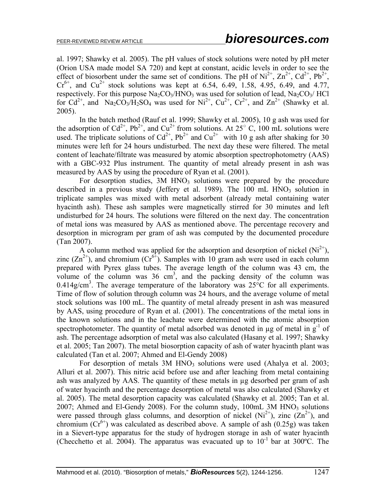al. 1997; Shawky et al. 2005). The pH values of stock solutions were noted by pH meter (Orion USA made model SA 720) and kept at constant, acidic levels in order to see the effect of biosorbent under the same set of conditions. The pH of  $Ni^{2+}$ ,  $Zn^{2+}$ ,  $Cd^{2+}$ ,  $Pb^{2+}$ ,  $Cr^{6+}$ , and  $Cu^{2+}$  stock solutions was kept at 6.54, 6.49, 1.58, 4.95, 6.49, and 4.77, respectively. For this purpose  $\text{Na}_2\text{CO}_3/\text{HNO}_3$  was used for solution of lead,  $\text{Na}_2\text{CO}_3/\text{HCl}$ for  $Cd^{2+}$ , and  $Na_2CO_3/H_2SO_4$  was used for  $Ni^{2+}$ ,  $Cu^{2+}$ ,  $Cr^{2+}$ , and  $Zn^{2+}$  (Shawky et al. 2005).

 In the batch method (Rauf et al. 1999; Shawky et al. 2005), 10 g ash was used for the adsorption of  $Cd^{2+}$ ,  $Pb^{2+}$ , and  $Cu^{2+}$  from solutions. At 25° C, 100 mL solutions were used. The triplicate solutions of  $Cd^{2+}$ ,  $Pb^{2+}$  and  $Cu^{2+}$  with 10 g ash after shaking for 30 minutes were left for 24 hours undisturbed. The next day these were filtered. The metal content of leachate/filtrate was measured by atomic absorption spectrophotometry (AAS) with a GBC-932 Plus instrument. The quantity of metal already present in ash was measured by AAS by using the procedure of Ryan et al. (2001).

For desorption studies,  $3M$  HNO<sub>3</sub> solutions were prepared by the procedure described in a previous study (Jeffery et al. 1989). The  $100$  mL  $HNO<sub>3</sub>$  solution in triplicate samples was mixed with metal adsorbent (already metal containing water hyacinth ash). These ash samples were magnetically stirred for 30 minutes and left undisturbed for 24 hours. The solutions were filtered on the next day. The concentration of metal ions was measured by AAS as mentioned above. The percentage recovery and desorption in microgram per gram of ash was computed by the documented procedure (Tan 2007).

A column method was applied for the adsorption and desorption of nickel  $(Ni^{2+})$ , zinc  $(Zn^{2+})$ , and chromium  $(Cr^{6+})$ . Samples with 10 gram ash were used in each column prepared with Pyrex glass tubes. The average length of the column was 43 cm, the volume of the column was  $36 \text{ cm}^3$ , and the packing density of the column was 0.414g/cm<sup>3</sup>. The average temperature of the laboratory was  $25^{\circ}$ C for all experiments. Time of flow of solution through column was 24 hours, and the average volume of metal stock solutions was 100 mL. The quantity of metal already present in ash was measured by AAS, using procedure of Ryan et al. (2001). The concentrations of the metal ions in the known solutions and in the leachate were determined with the atomic absorption spectrophotometer. The quantity of metal adsorbed was denoted in  $\mu$ g of metal in g<sup>-1</sup> of ash. The percentage adsorption of metal was also calculated (Hasany et al. 1997; Shawky et al. 2005; Tan 2007). The metal biosorption capacity of ash of water hyacinth plant was calculated (Tan et al. 2007; Ahmed and El-Gendy 2008)

For desorption of metals  $3M HNO<sub>3</sub>$  solutions were used (Ahalya et al. 2003; Alluri et al. 2007). This nitric acid before use and after leaching from metal containing ash was analyzed by AAS. The quantity of these metals in µg desorbed per gram of ash of water hyacinth and the percentage desorption of metal was also calculated (Shawky et al. 2005). The metal desorption capacity was calculated (Shawky et al. 2005; Tan et al. 2007; Ahmed and El-Gendy 2008). For the column study,  $100mL$  3M HNO<sub>3</sub> solutions were passed through glass columns, and desorption of nickel  $(Ni^{2+})$ , zinc  $(Zn^{2+})$ , and chromium  $(Cr^{6+})$  was calculated as described above. A sample of ash (0.25g) was taken in a Sievert-type apparatus for the study of hydrogen storage in ash of water hyacinth (Checchetto et al. 2004). The apparatus was evacuated up to  $10^{-1}$  bar at 300°C. The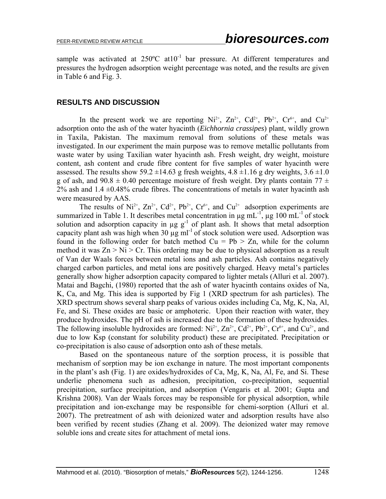sample was activated at  $250^{\circ}$ C at  $10^{-1}$  bar pressure. At different temperatures and pressures the hydrogen adsorption weight percentage was noted, and the results are given in Table 6 and Fig. 3.

### **RESULTS AND DISCUSSION**

In the present work we are reporting  $Ni^{2+}$ ,  $Zn^{2+}$ ,  $Cd^{2+}$ ,  $Pb^{2+}$ ,  $Cr^{6+}$ , and  $Cu^{2+}$ adsorption onto the ash of the water hyacinth (*Eichhornia crassipes*) plant, wildly grown in Taxila, Pakistan. The maximum removal from solutions of these metals was investigated. In our experiment the main purpose was to remove metallic pollutants from waste water by using Taxilian water hyacinth ash. Fresh weight, dry weight, moisture content, ash content and crude fibre content for five samples of water hyacinth were assessed. The results show 59.2  $\pm$ 14.63 g fresh weights, 4.8  $\pm$ 1.16 g dry weights, 3.6  $\pm$ 1.0 g of ash, and  $90.8 \pm 0.40$  percentage moisture of fresh weight. Drv plants contain  $77 \pm 10$  $2\%$  ash and  $1.4 \pm 0.48\%$  crude fibres. The concentrations of metals in water hyacinth ash were measured by AAS.

The results of  $Ni^{2+}$ ,  $Zn^{2+}$ ,  $Cd^{2+}$ ,  $Pb^{2+}$ ,  $Cr^{6+}$ , and  $Cu^{2+}$  adsorption experiments are summarized in Table 1. It describes metal concentration in  $\mu$ g mL $^{-1}$ ,  $\mu$ g 100 mL $^{-1}$  of stock solution and adsorption capacity in  $\mu$ g g<sup>-1</sup> of plant ash. It shows that metal adsorption capacity plant ash was high when  $30 \mu g$  ml<sup>-1</sup> of stock solution were used. Adsorption was found in the following order for batch method  $Cu = Pb > Zn$ , while for the column method it was  $Zn > Ni > Cr$ . This ordering may be due to physical adsorption as a result of Van der Waals forces between metal ions and ash particles. Ash contains negatively charged carbon particles, and metal ions are positively charged. Heavy metal's particles generally show higher adsorption capacity compared to lighter metals (Alluri et al. 2007). Matai and Bagchi, (1980) reported that the ash of water hyacinth contains oxides of Na, K, Ca, and Mg. This idea is supported by Fig 1 (XRD spectrum for ash particles). The XRD spectrum shows several sharp peaks of various oxides including Ca, Mg, K, Na, Al, Fe, and Si. These oxides are basic or amphoteric. Upon their reaction with water, they produce hydroxides. The pH of ash is increased due to the formation of these hydroxides. The following insoluble hydroxides are formed:  $Ni^{2+}$ ,  $Zn^{2+}$ ,  $Cd^{2+}$ ,  $Pb^{2+}$ ,  $Cr^{6+}$ , and  $Cu^{2+}$ , and due to low Ksp (constant for solubility product) these are precipitated. Precipitation or co-precipitation is also cause of adsorption onto ash of these metals.

 Based on the spontaneous nature of the sorption process, it is possible that mechanism of sorption may be ion exchange in nature. The most important components in the plant's ash (Fig. 1) are oxides/hydroxides of Ca, Mg, K, Na, Al, Fe, and Si. These underlie phenomena such as adhesion, precipitation, co-precipitation, sequential precipitation, surface precipitation, and adsorption (Vengaris et al. 2001; Gupta and Krishna 2008). Van der Waals forces may be responsible for physical adsorption, while precipitation and ion-exchange may be responsible for chemi-sorption (Alluri et al. 2007). The pretreatment of ash with deionized water and adsorption results have also been verified by recent studies (Zhang et al. 2009). The deionized water may remove soluble ions and create sites for attachment of metal ions.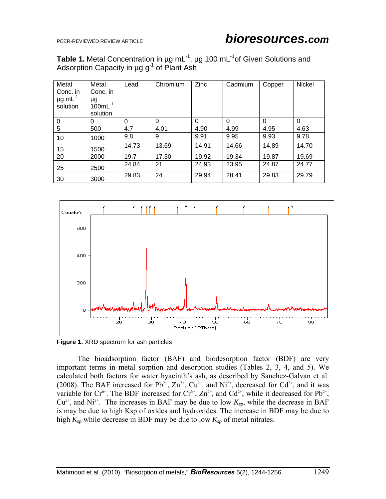**Table 1.** Metal Concentration in µg mL<sup>-1</sup>, µg 100 mL<sup>-1</sup>of Given Solutions and Adsorption Capacity in  $\mu$ g g<sup>-1</sup> of Plant Ash

| Metal<br>Conc. in<br>$\mu$ g mL $^{-1}$<br>solution | Metal<br>Conc. in<br>μg<br>$100mL^{-1}$<br>solution | Lead  | Chromium | Zinc     | Cadmium  | Copper   | Nickel   |
|-----------------------------------------------------|-----------------------------------------------------|-------|----------|----------|----------|----------|----------|
| 0                                                   | 0                                                   | 0     | $\Omega$ | $\Omega$ | $\Omega$ | $\Omega$ | $\Omega$ |
| 5                                                   | 500                                                 | 4.7   | 4.01     | 4.90     | 4.99     | 4.95     | 4.63     |
| 10                                                  | 1000                                                | 9.8   | 9        | 9.91     | 9.95     | 9.93     | 9.78     |
| 15                                                  | 1500                                                | 14.73 | 13.69    | 14.91    | 14.66    | 14.89    | 14.70    |
| 20                                                  | 2000                                                | 19.7  | 17.30    | 19.92    | 19.34    | 19.87    | 19.69    |
| 25                                                  | 2500                                                | 24.84 | 21       | 24.93    | 23.95    | 24.87    | 24.77    |
| 30                                                  | 3000                                                | 29.83 | 24       | 29.94    | 28.41    | 29.83    | 29.79    |



**Figure 1.** XRD spectrum for ash particles

 The bioadsorption factor (BAF) and biodesorption factor (BDF) are very important terms in metal sorption and desorption studies (Tables 2, 3, 4, and 5). We calculated both factors for water hyacinth's ash, as described by Sanchez-Galvan et al. (2008). The BAF increased for Pb<sup>2+</sup>,  $\text{Zn}^{2+}$ ,  $\text{Cu}^{2+}$ , and Ni<sup>2+</sup>, decreased for Cd<sup>2+</sup>, and it was variable for  $Cr^{6+}$ . The BDF increased for  $Cr^{6+}$ ,  $Zn^{2+}$ , and  $Cd^{2+}$ , while it decreased for  $Pb^{2+}$ ,  $Cu^{2+}$ , and Ni<sup>2+</sup>. The increases in BAF may be due to low  $K_{sp}$ , while the decrease in BAF is may be due to high Ksp of oxides and hydroxides. The increase in BDF may be due to high  $K_{sp}$  while decrease in BDF may be due to low  $K_{sp}$  of metal nitrates.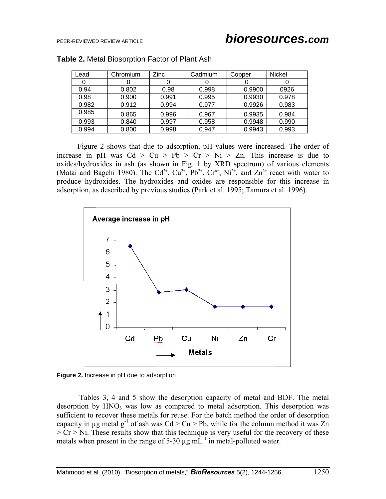| Lead  | Chromium | Zinc  | Cadmium | Copper | Nickel |
|-------|----------|-------|---------|--------|--------|
|       |          |       |         |        |        |
| 0.94  | 0.802    | 0.98  | 0.998   | 0.9900 | 0926   |
| 0.98  | 0.900    | 0.991 | 0.995   | 0.9930 | 0.978  |
| 0.982 | 0.912    | 0.994 | 0.977   | 0.9926 | 0.983  |
| 0.985 | 0.865    | 0.996 | 0.967   | 0.9935 | 0.984  |
| 0.993 | 0.840    | 0.997 | 0.958   | 0.9948 | 0.990  |
| 0.994 | 0.800    | 0.998 | 0.947   | 0.9943 | 0.993  |

#### **Table 2.** Metal Biosorption Factor of Plant Ash

 Figure 2 shows that due to adsorption, pH values were increased. The order of increase in pH was  $Cd > Cu > Pb > Cr > Ni > Zn$ . This increase is due to oxides/hydroxides in ash (as shown in Fig. 1 by XRD spectrum) of various elements (Matai and Bagchi 1980). The Cd<sup>2+</sup>, Cu<sup>2+</sup>, Pb<sup>2+</sup>, Cr<sup>6+</sup>, Ni<sup>2+</sup>, and Zn<sup>2+</sup> react with water to produce hydroxides. The hydroxides and oxides are responsible for this increase in adsorption, as described by previous studies (Park et al. 1995; Tamura et al. 1996).



**Figure 2.** Increase in pH due to adsorption

Tables 3, 4 and 5 show the desorption capacity of metal and BDF. The metal desorption by  $HNO<sub>3</sub>$  was low as compared to metal adsorption. This desorption was sufficient to recover these metals for reuse. For the batch method the order of desorption capacity in  $\mu$ g metal g<sup>-1</sup> of ash was Cd > Cu > Pb, while for the column method it was Zn  $> Cr > Ni$ . These results show that this technique is very useful for the recovery of these metals when present in the range of  $5-30 \mu g \text{ mL}^{-1}$  in metal-polluted water.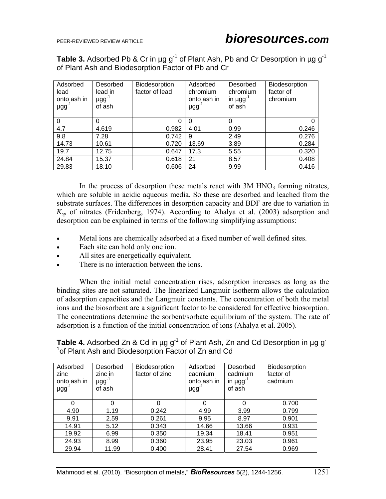**Table 3.** Adsorbed Pb & Cr in  $\mu$ g g<sup>-1</sup> of Plant Ash, Pb and Cr Desorption in  $\mu$ g g<sup>-1</sup> of Plant Ash and Biodesorption Factor of Pb and Cr

| Adsorbed<br>lead<br>onto ash in<br>$\mu$ gg <sup>-1</sup> | Desorbed<br>lead in<br>$\mu$ gg <sup>-1</sup><br>of ash | Biodesorption<br>factor of lead | Adsorbed<br>chromium<br>onto ash in<br>µgg <sup>-1</sup> | Desorbed<br>chromium<br>in $\mu$ gg <sup>-1</sup><br>of ash | Biodesorption<br>factor of<br>chromium |
|-----------------------------------------------------------|---------------------------------------------------------|---------------------------------|----------------------------------------------------------|-------------------------------------------------------------|----------------------------------------|
| 0                                                         | $\Omega$                                                | 0                               | $\Omega$                                                 | 0                                                           | 0                                      |
| 4.7                                                       | 4.619                                                   | 0.982                           | 4.01                                                     | 0.99                                                        | 0.246                                  |
| 9.8                                                       | 7.28                                                    | 0.742                           | 9                                                        | 2.49                                                        | 0.276                                  |
| 14.73                                                     | 10.61                                                   | 0.720                           | 13.69                                                    | 3.89                                                        | 0.284                                  |
| 19.7                                                      | 12.75                                                   | 0.647                           | 17.3                                                     | 5.55                                                        | 0.320                                  |
| 24.84                                                     | 15.37                                                   | 0.618                           | 21                                                       | 8.57                                                        | 0.408                                  |
| 29.83                                                     | 18.10                                                   | 0.606                           | 24                                                       | 9.99                                                        | 0.416                                  |

In the process of desorption these metals react with  $3M HNO<sub>3</sub>$  forming nitrates, which are soluble in acidic aqueous media. So these are desorbed and leached from the substrate surfaces. The differences in desorption capacity and BDF are due to variation in *Ksp* of nitrates (Fridenberg, 1974). According to Ahalya et al. (2003) adsorption and desorption can be explained in terms of the following simplifying assumptions:

- Metal ions are chemically adsorbed at a fixed number of well defined sites.
- Each site can hold only one ion.
- All sites are energetically equivalent.
- There is no interaction between the ions.

 When the initial metal concentration rises, adsorption increases as long as the binding sites are not saturated. The linearized Langmuir isotherm allows the calculation of adsorption capacities and the Langmuir constants. The concentration of both the metal ions and the biosorbent are a significant factor to be considered for effective biosorption. The concentrations determine the sorbent/sorbate equilibrium of the system. The rate of adsorption is a function of the initial concentration of ions (Ahalya et al. 2005).

Table 4. Adsorbed Zn & Cd in µg g<sup>-1</sup> of Plant Ash, Zn and Cd Desorption in µg g<sup>-1</sup> <sup>1</sup> of Plant Ash and Biodesorption Factor of Zn and Cd

| Adsorbed<br>zinc<br>onto ash in<br>$\mu$ gg $^{-1}$ | Desorbed<br>zinc in<br>$\mu$ gg <sup>-1</sup><br>of ash | Biodesorption<br>factor of zinc | Adsorbed<br>cadmium<br>onto ash in<br>$\mu$ gg <sup>-1</sup> | Desorbed<br>cadmium<br>in $\mu$ gg <sup>-1</sup><br>of ash | Biodesorption<br>factor of<br>cadmium |
|-----------------------------------------------------|---------------------------------------------------------|---------------------------------|--------------------------------------------------------------|------------------------------------------------------------|---------------------------------------|
| $\Omega$                                            | 0                                                       | 0                               | 0                                                            | $\Omega$                                                   | 0.700                                 |
| 4.90                                                | 1.19                                                    | 0.242                           | 4.99                                                         | 3.99                                                       | 0.799                                 |
| 9.91                                                | 2.59                                                    | 0.261                           | 9.95                                                         | 8.97                                                       | 0.901                                 |
| 14.91                                               | 5.12                                                    | 0.343                           | 14.66                                                        | 13.66                                                      | 0.931                                 |
| 19.92                                               | 6.99                                                    | 0.350                           | 19.34                                                        | 18.41                                                      | 0.951                                 |
| 24.93                                               | 8.99                                                    | 0.360                           | 23.95                                                        | 23.03                                                      | 0.961                                 |
| 29.94                                               | 11.99                                                   | 0.400                           | 28.41                                                        | 27.54                                                      | 0.969                                 |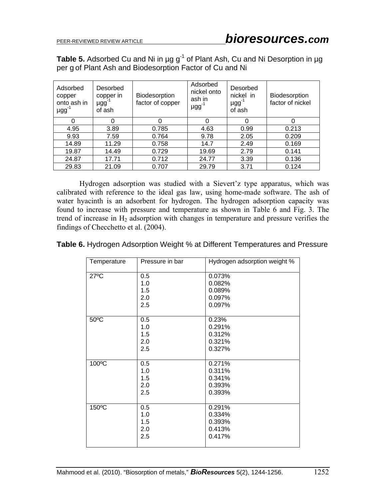**Table 5.** Adsorbed Cu and Ni in µg g<sup>-1</sup> of Plant Ash, Cu and Ni Desorption in µg per g of Plant Ash and Biodesorption Factor of Cu and Ni

| Adsorbed<br>copper<br>onto ash in<br>$\mu$ gg <sup>-1</sup> | Desorbed<br>copper in<br>$\mu$ gg <sup>-1</sup><br>of ash | Biodesorption<br>factor of copper | Adsorbed<br>nickel onto<br>ash in<br>$\mu$ gg <sup>-1</sup> | Desorbed<br>nickel in<br>$\mu$ gg <sup>-1</sup><br>of ash | Biodesorption<br>factor of nickel |
|-------------------------------------------------------------|-----------------------------------------------------------|-----------------------------------|-------------------------------------------------------------|-----------------------------------------------------------|-----------------------------------|
|                                                             | 0                                                         | 0                                 |                                                             | 0                                                         |                                   |
| 4.95                                                        | 3.89                                                      | 0.785                             | 4.63                                                        | 0.99                                                      | 0.213                             |
| 9.93                                                        | 7.59                                                      | 0.764                             | 9.78                                                        | 2.05                                                      | 0.209                             |
| 14.89                                                       | 11.29                                                     | 0.758                             | 14.7                                                        | 2.49                                                      | 0.169                             |
| 19.87                                                       | 14.49                                                     | 0.729                             | 19.69                                                       | 2.79                                                      | 0.141                             |
| 24.87                                                       | 17.71                                                     | 0.712                             | 24.77                                                       | 3.39                                                      | 0.136                             |
| 29.83                                                       | 21.09                                                     | 0.707                             | 29.79                                                       | 3.71                                                      | 0.124                             |

Hydrogen adsorption was studied with a Sievert'z type apparatus, which was calibrated with reference to the ideal gas law, using home-made software. The ash of water hyacinth is an adsorbent for hydrogen. The hydrogen adsorption capacity was found to increase with pressure and temperature as shown in Table 6 and Fig. 3. The trend of increase in  $H_2$  adsorption with changes in temperature and pressure verifies the findings of Checchetto et al. (2004).

| Temperature    | Pressure in bar | Hydrogen adsorption weight % |
|----------------|-----------------|------------------------------|
| $27^{\circ}$ C | 0.5             | 0.073%                       |
|                | 1.0             | 0.082%                       |
|                | 1.5             | 0.089%                       |
|                | 2.0             | 0.097%                       |
|                | 2.5             | 0.097%                       |
|                |                 |                              |
| $50^{\circ}$ C | 0.5             | 0.23%                        |
|                | 1.0             | 0.291%                       |
|                | 1.5             | 0.312%                       |
|                | 2.0             | 0.321%                       |
|                | 2.5             | 0.327%                       |
|                |                 |                              |
| 100°C          | 0.5             | 0.271%                       |
|                | 1.0             | 0.311%                       |
|                | 1.5             | 0.341%                       |
|                | 2.0             | 0.393%                       |
|                | 2.5             | 0.393%                       |
|                |                 |                              |
| 150°C          | 0.5             | 0.291%                       |
|                | 1.0             | 0.334%                       |
|                | 1.5             | 0.393%                       |
|                | 2.0             | 0.413%                       |
|                | 2.5             | 0.417%                       |
|                |                 |                              |

**Table 6.** Hydrogen Adsorption Weight % at Different Temperatures and Pressure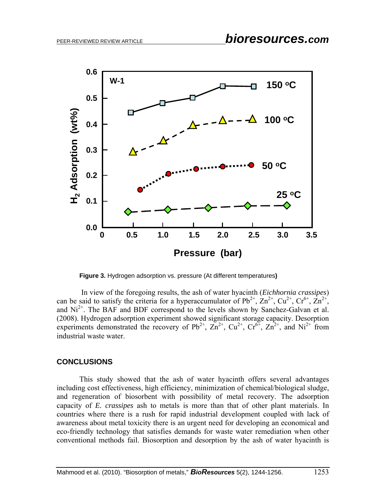

**Figure 3.** Hydrogen adsorption vs. pressure (At different temperatures**)** 

 In view of the foregoing results, the ash of water hyacinth (*Eichhornia crassipes*) can be said to satisfy the criteria for a hyperaccumulator of  $Pb^{2+}$ ,  $Zn^{2+}$ ,  $Cu^{2+}$ ,  $Cr^{6+}$ ,  $Zn^{2+}$ , and  $Ni<sup>2+</sup>$ . The BAF and BDF correspond to the levels shown by Sanchez-Galvan et al. (2008). Hydrogen adsorption experiment showed significant storage capacity. Desorption experiments demonstrated the recovery of  $Pb^{2+}$ ,  $Zn^{2+}$ ,  $Cu^{2+}$ ,  $Cr^{6+}$ ,  $Zn^{2+}$ , and  $Ni^{2+}$  from industrial waste water.

### **CONCLUSIONS**

 This study showed that the ash of water hyacinth offers several advantages including cost effectiveness, high efficiency, minimization of chemical/biological sludge, and regeneration of biosorbent with possibility of metal recovery. The adsorption capacity of *E. crassipes* ash to metals is more than that of other plant materials. In countries where there is a rush for rapid industrial development coupled with lack of awareness about metal toxicity there is an urgent need for developing an economical and eco-friendly technology that satisfies demands for waste water remediation when other conventional methods fail. Biosorption and desorption by the ash of water hyacinth is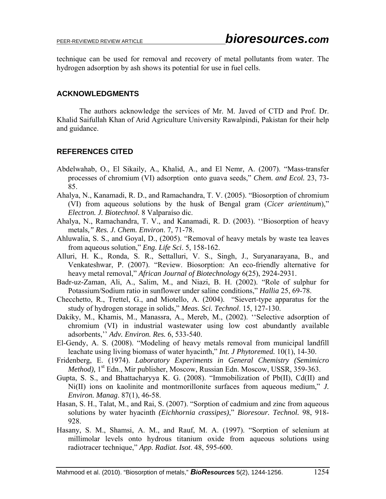technique can be used for removal and recovery of metal pollutants from water. The hydrogen adsorption by ash shows its potential for use in fuel cells.

# **ACKNOWLEDGMENTS**

 The authors acknowledge the services of Mr. M. Javed of CTD and Prof. Dr. Khalid Saifullah Khan of Arid Agriculture University Rawalpindi, Pakistan for their help and guidance.

# **REFERENCES CITED**

- Abdelwahab, O., El Sikaily, A., Khalid, A., and El Nemr, A. (2007). "Mass-transfer processes of chromium (VI) adsorption onto guava seeds," *Chem. and Ecol.* 23, 73- 85.
- Ahalya, N., Kanamadi, R. D., and Ramachandra, T. V. (2005). "Biosorption of chromium (VI) from aqueous solutions by the husk of Bengal gram (*Cicer arientinum*)," *Electron. J. Biotechnol.* 8 Valparaíso dic.
- Ahalya, N., Ramachandra, T. V., and Kanamadi, R. D. (2003). ''Biosorption of heavy metals*," Res. J. Chem. Environ*. 7, 71-78.
- Ahluwalia, S. S., and Goyal, D., (2005). "Removal of heavy metals by waste tea leaves from aqueous solution," *Eng. Life Sci*. 5, 158-162.
- Alluri, H. K., Ronda, S. R., Settalluri, V. S., Singh, J., Suryanarayana, B., and Venkateshwar, P. (2007). "Review. Biosorption: An eco-friendly alternative for heavy metal removal," *African Journal of Biotechnology* 6(25), 2924-2931.
- Badr-uz-Zaman, Ali, A., Salim, M., and Niazi, B. H. (2002). "Role of sulphur for Potassium/Sodium ratio in sunflower under saline conditions," *Hallia* 25, 69-78.
- Checchetto, R., Trettel, G., and Miotello, A. (2004). "Sievert-type apparatus for the study of hydrogen storage in solids," *Meas. Sci. Technol*. 15, 127-130.
- Dakiky, M., Khamis, M., Manassra, A., Mereb, M., (2002). ''Selective adsorption of chromium (VI) in industrial wastewater using low cost abundantly available adsorbents,'' *Adv. Environ. Res.* 6, 533-540.
- El-Gendy, A. S. (2008). "Modeling of heavy metals removal from municipal landfill leachate using living biomass of water hyacinth," *Int. J Phytoremed.* 10(1), 14-30.
- Fridenberg, E. (1974). *Laboratory Experiments in General Chemistry (Semimicro Method*), 1<sup>st</sup> Edn., Mir publisher, Moscow, Russian Edn. Moscow, USSR, 359-363.
- Gupta, S. S., and Bhattacharyya K. G. (2008). "Immobilization of Pb(II), Cd(II) and Ni(II) ions on kaolinite and montmorillonite surfaces from aqueous medium," *J. Environ. Manag*. 87(1), 46-58.
- Hasan, S. H., Talat, M., and Rai, S. (2007). "Sorption of cadmium and zinc from aqueous solutions by water hyacinth *(Eichhornia crassipes)*," *Bioresour. Technol.* 98, 918- 928.
- Hasany, S. M., Shamsi, A. M., and Rauf, M. A. (1997). "Sorption of selenium at millimolar levels onto hydrous titanium oxide from aqueous solutions using radiotracer technique," *App. Radiat. Isot*. 48, 595-600.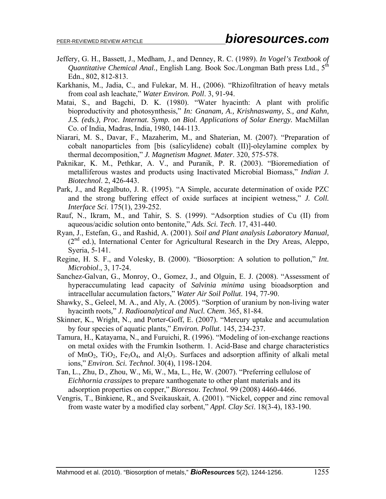- Jeffery, G. H., Bassett, J., Medham, J., and Denney, R. C. (1989). *In Vogel's Textbook of Quantitative Chemical Anal., English Lang. Book Soc.*/Longman Bath press Ltd., 5<sup>th</sup> Edn., 802, 812-813.
- Karkhanis, M., Jadia, C., and Fulekar, M. H., (2006). "Rhizofiltration of heavy metals from coal ash leachate," *Water Environ. Poll*. 3, 91-94.
- Matai, S., and Bagchi, D. K. (1980). "Water hyacinth: A plant with prolific bioproductivity and photosynthesis," *In: Gnanam, A., Krishnaswamy, S., and Kahn, J.S. (eds.), Proc. Internat. Symp. on Biol. Applications of Solar Energy.* MacMillan Co. of India, Madras, India, 1980, 144-113.
- Niarari, M. S., Davar, F., Mazaherim, M., and Shaterian, M. (2007). "Preparation of cobalt nanoparticles from [bis (salicylidene) cobalt (II)]-oleylamine complex by thermal decomposition," *J. Magnetism Magnet. Mater*. 320, 575-578.
- Paknikar, K. M., Pethkar, A. V., and Puranik, P. R. (2003). "Bioremediation of metalliferous wastes and products using Inactivated Microbial Biomass," *Indian J. Biotechnol*. 2, 426-443.
- Park, J., and Regalbuto, J. R. (1995). "A Simple, accurate determination of oxide PZC and the strong buffering effect of oxide surfaces at incipient wetness," *J. Coll. Interface Sci*. 175(1), 239-252.
- Rauf, N., Ikram, M., and Tahir, S. S. (1999). "Adsorption studies of Cu (II) from aqueous/acidic solution onto bentonite," *Ads. Sci. Tech*. 17, 431-440.
- Ryan, J., Estefan, G., and Rashid, A. (2001). *Soil and Plant analysis Laboratory Manual,* (2<sup>nd</sup> ed.), International Center for Agricultural Research in the Dry Areas, Aleppo, Syeria, 5-141.
- Regine, H. S. F., and Volesky, B. (2000). "Biosorption: A solution to pollution," *Int. Microbiol*., 3, 17-24.
- Sanchez-Galvan, G., Monroy, O., Gomez, J., and Olguin, E. J. (2008). "Assessment of hyperaccumulating lead capacity of *Salvinia minima* using bioadsorption and intracellular accumulation factors," *Water Air Soil Pollut*. 194, 77-90.
- Shawky, S., Geleel, M. A., and Aly, A. (2005). "Sorption of uranium by non-living water hyacinth roots*,*" *J. Radioanalytical and Nucl. Chem*. 365, 81-84.
- Skinner, K., Wright, N., and Porter-Goff, E. (2007). "Mercury uptake and accumulation by four species of aquatic plants," *Environ. Pollut*. 145, 234-237.
- Tamura, H., Katayama, N., and Furuichi, R. (1996). "Modeling of ion-exchange reactions on metal oxides with the Frumkin Isotherm. 1. Acid-Base and charge characteristics of MnO<sub>2</sub>, TiO<sub>2</sub>, Fe<sub>3</sub>O<sub>4</sub>, and Al<sub>2</sub>O<sub>3</sub>. Surfaces and adsorption affinity of alkali metal ions," *Environ. Sci. Technol*. 30(4), 1198-1204.
- Tan, L., Zhu, D., Zhou, W., Mi, W., Ma, L., He, W. (2007). "Preferring cellulose of *Eichhornia crassipes* to prepare xanthogenate to other plant materials and its adsorption properties on copper," *Bioresou*. *Technol.* 99 (2008) 4460-4466.
- Vengris, T., Binkiene, R., and Sveikauskait, A. (2001). "Nickel, copper and zinc removal from waste water by a modified clay sorbent," *Appl. Clay Sci*. 18(3-4), 183-190.